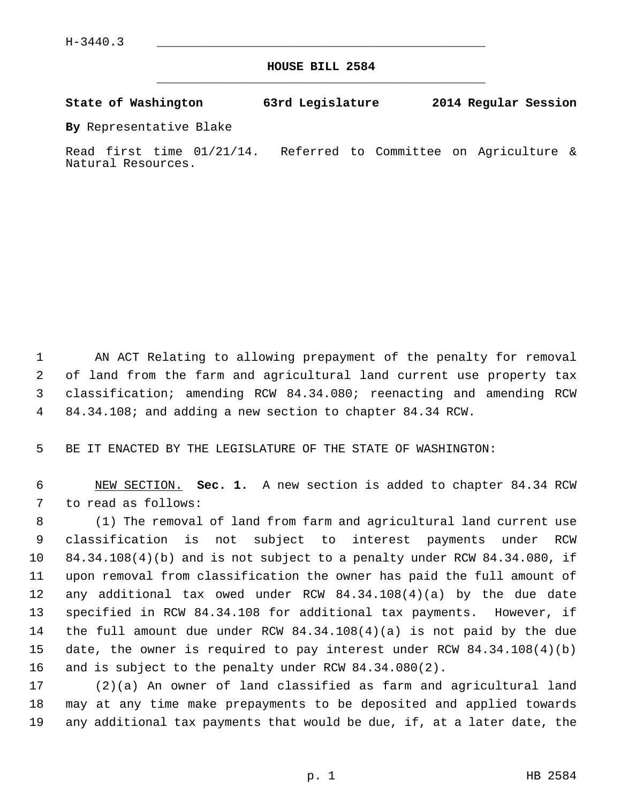**HOUSE BILL 2584** \_\_\_\_\_\_\_\_\_\_\_\_\_\_\_\_\_\_\_\_\_\_\_\_\_\_\_\_\_\_\_\_\_\_\_\_\_\_\_\_\_\_\_\_\_

**State of Washington 63rd Legislature 2014 Regular Session**

**By** Representative Blake

Read first time 01/21/14. Referred to Committee on Agriculture & Natural Resources.

 1 AN ACT Relating to allowing prepayment of the penalty for removal 2 of land from the farm and agricultural land current use property tax 3 classification; amending RCW 84.34.080; reenacting and amending RCW 4 84.34.108; and adding a new section to chapter 84.34 RCW.

5 BE IT ENACTED BY THE LEGISLATURE OF THE STATE OF WASHINGTON:

 6 NEW SECTION. **Sec. 1.** A new section is added to chapter 84.34 RCW 7 to read as follows:

 8 (1) The removal of land from farm and agricultural land current use 9 classification is not subject to interest payments under RCW 10 84.34.108(4)(b) and is not subject to a penalty under RCW 84.34.080, if 11 upon removal from classification the owner has paid the full amount of 12 any additional tax owed under RCW 84.34.108(4)(a) by the due date 13 specified in RCW 84.34.108 for additional tax payments. However, if 14 the full amount due under RCW 84.34.108(4)(a) is not paid by the due 15 date, the owner is required to pay interest under RCW 84.34.108(4)(b) 16 and is subject to the penalty under RCW 84.34.080(2).

17 (2)(a) An owner of land classified as farm and agricultural land 18 may at any time make prepayments to be deposited and applied towards 19 any additional tax payments that would be due, if, at a later date, the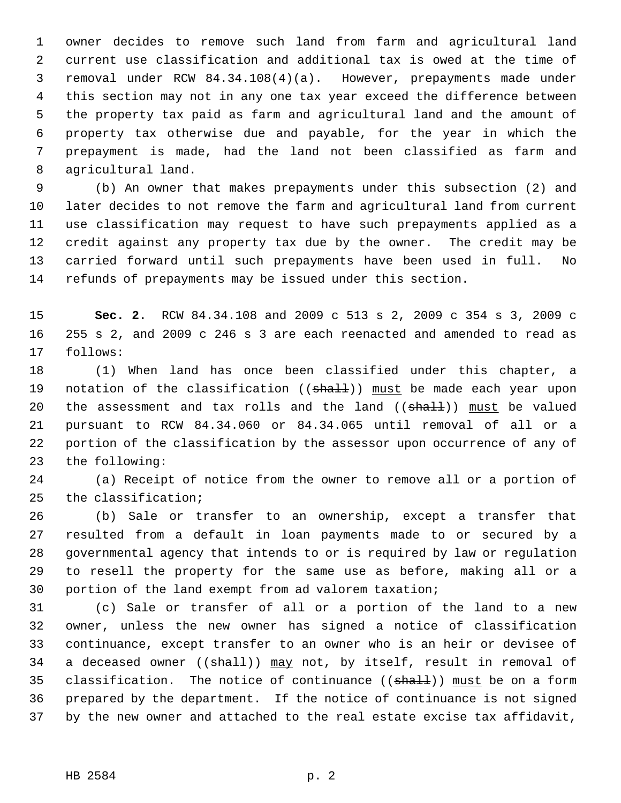1 owner decides to remove such land from farm and agricultural land 2 current use classification and additional tax is owed at the time of 3 removal under RCW 84.34.108(4)(a). However, prepayments made under 4 this section may not in any one tax year exceed the difference between 5 the property tax paid as farm and agricultural land and the amount of 6 property tax otherwise due and payable, for the year in which the 7 prepayment is made, had the land not been classified as farm and 8 agricultural land.

 9 (b) An owner that makes prepayments under this subsection (2) and 10 later decides to not remove the farm and agricultural land from current 11 use classification may request to have such prepayments applied as a 12 credit against any property tax due by the owner. The credit may be 13 carried forward until such prepayments have been used in full. No 14 refunds of prepayments may be issued under this section.

15 **Sec. 2.** RCW 84.34.108 and 2009 c 513 s 2, 2009 c 354 s 3, 2009 c 16 255 s 2, and 2009 c 246 s 3 are each reenacted and amended to read as 17 follows:

18 (1) When land has once been classified under this chapter, a 19 notation of the classification ((shall)) must be made each year upon 20 the assessment and tax rolls and the land  $((shall))$  must be valued 21 pursuant to RCW 84.34.060 or 84.34.065 until removal of all or a 22 portion of the classification by the assessor upon occurrence of any of 23 the following:

24 (a) Receipt of notice from the owner to remove all or a portion of 25 the classification;

26 (b) Sale or transfer to an ownership, except a transfer that 27 resulted from a default in loan payments made to or secured by a 28 governmental agency that intends to or is required by law or regulation 29 to resell the property for the same use as before, making all or a 30 portion of the land exempt from ad valorem taxation;

31 (c) Sale or transfer of all or a portion of the land to a new 32 owner, unless the new owner has signed a notice of classification 33 continuance, except transfer to an owner who is an heir or devisee of 34 a deceased owner  $((shath))$  may not, by itself, result in removal of 35 classification. The notice of continuance  $((\text{shall}))$  must be on a form 36 prepared by the department. If the notice of continuance is not signed 37 by the new owner and attached to the real estate excise tax affidavit,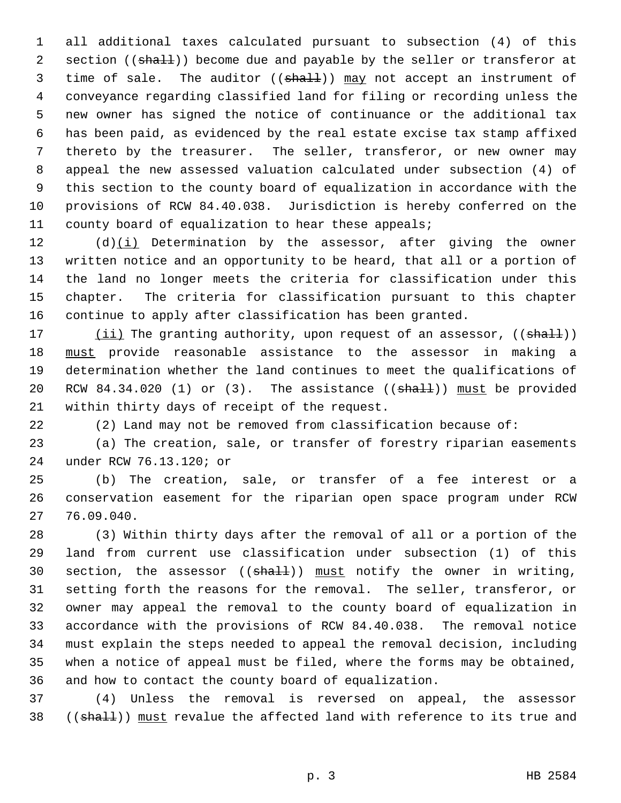1 all additional taxes calculated pursuant to subsection (4) of this 2 section ((shall)) become due and payable by the seller or transferor at 3 time of sale. The auditor ((shall)) may not accept an instrument of 4 conveyance regarding classified land for filing or recording unless the 5 new owner has signed the notice of continuance or the additional tax 6 has been paid, as evidenced by the real estate excise tax stamp affixed 7 thereto by the treasurer. The seller, transferor, or new owner may 8 appeal the new assessed valuation calculated under subsection (4) of 9 this section to the county board of equalization in accordance with the 10 provisions of RCW 84.40.038. Jurisdiction is hereby conferred on the 11 county board of equalization to hear these appeals;

12 (d)(i) Determination by the assessor, after giving the owner 13 written notice and an opportunity to be heard, that all or a portion of 14 the land no longer meets the criteria for classification under this 15 chapter. The criteria for classification pursuant to this chapter 16 continue to apply after classification has been granted.

17 (ii) The granting authority, upon request of an assessor, ((shall)) 18 must provide reasonable assistance to the assessor in making a 19 determination whether the land continues to meet the qualifications of 20 RCW 84.34.020 (1) or  $(3)$ . The assistance  $((\text{shalt}))$  must be provided 21 within thirty days of receipt of the request.

22 (2) Land may not be removed from classification because of:

23 (a) The creation, sale, or transfer of forestry riparian easements 24 under RCW 76.13.120; or

25 (b) The creation, sale, or transfer of a fee interest or a 26 conservation easement for the riparian open space program under RCW 27 76.09.040.

28 (3) Within thirty days after the removal of all or a portion of the 29 land from current use classification under subsection (1) of this 30 section, the assessor  $((shall))$  must notify the owner in writing, 31 setting forth the reasons for the removal. The seller, transferor, or 32 owner may appeal the removal to the county board of equalization in 33 accordance with the provisions of RCW 84.40.038. The removal notice 34 must explain the steps needed to appeal the removal decision, including 35 when a notice of appeal must be filed, where the forms may be obtained, 36 and how to contact the county board of equalization.

37 (4) Unless the removal is reversed on appeal, the assessor 38 ((shall)) must revalue the affected land with reference to its true and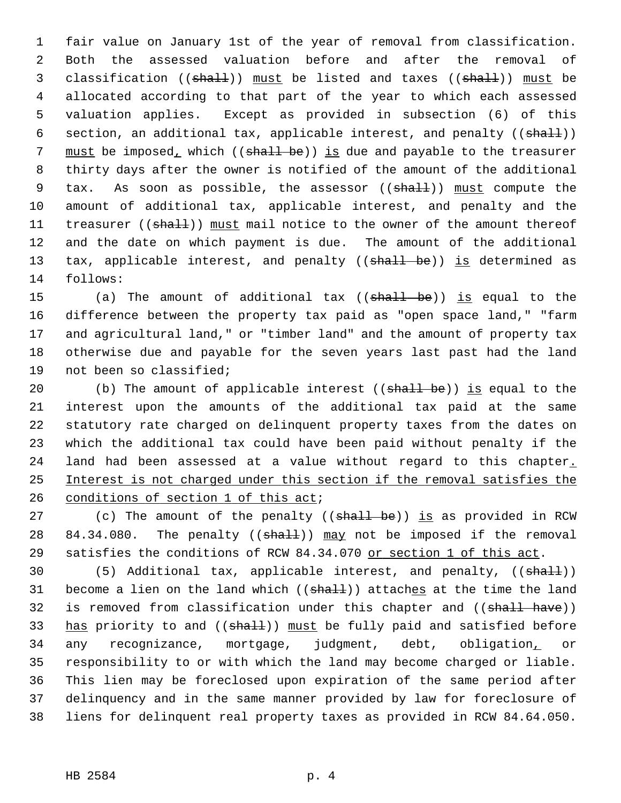1 fair value on January 1st of the year of removal from classification. 2 Both the assessed valuation before and after the removal of 3 classification ((shall)) must be listed and taxes ((shall)) must be 4 allocated according to that part of the year to which each assessed 5 valuation applies. Except as provided in subsection (6) of this 6 section, an additional tax, applicable interest, and penalty  $((\text{sha11}))$ 7 must be imposed, which ((shall be)) is due and payable to the treasurer 8 thirty days after the owner is notified of the amount of the additional 9 tax. As soon as possible, the assessor (( $\text{shall}$ )) must compute the 10 amount of additional tax, applicable interest, and penalty and the 11 treasurer ((shall)) must mail notice to the owner of the amount thereof 12 and the date on which payment is due. The amount of the additional 13 tax, applicable interest, and penalty ((shall be)) is determined as 14 follows:

15 (a) The amount of additional tax ((shall be)) is equal to the 16 difference between the property tax paid as "open space land," "farm 17 and agricultural land," or "timber land" and the amount of property tax 18 otherwise due and payable for the seven years last past had the land 19 not been so classified;

20 (b) The amount of applicable interest ((shall be)) is equal to the 21 interest upon the amounts of the additional tax paid at the same 22 statutory rate charged on delinquent property taxes from the dates on 23 which the additional tax could have been paid without penalty if the 24 land had been assessed at a value without regard to this chapter. 25 Interest is not charged under this section if the removal satisfies the 26 conditions of section 1 of this act;

27 (c) The amount of the penalty ((shall be)) is as provided in RCW 28 84.34.080. The penalty  $((shall))$  may not be imposed if the removal 29 satisfies the conditions of RCW 84.34.070 or section 1 of this act.

30 (5) Additional tax, applicable interest, and penalty, ((shall)) 31 become a lien on the land which  $((shath))$  attaches at the time the land 32 is removed from classification under this chapter and ((shall have)) 33 has priority to and ((shall)) must be fully paid and satisfied before 34 any recognizance, mortgage, judgment, debt, obligation, or 35 responsibility to or with which the land may become charged or liable. 36 This lien may be foreclosed upon expiration of the same period after 37 delinquency and in the same manner provided by law for foreclosure of 38 liens for delinquent real property taxes as provided in RCW 84.64.050.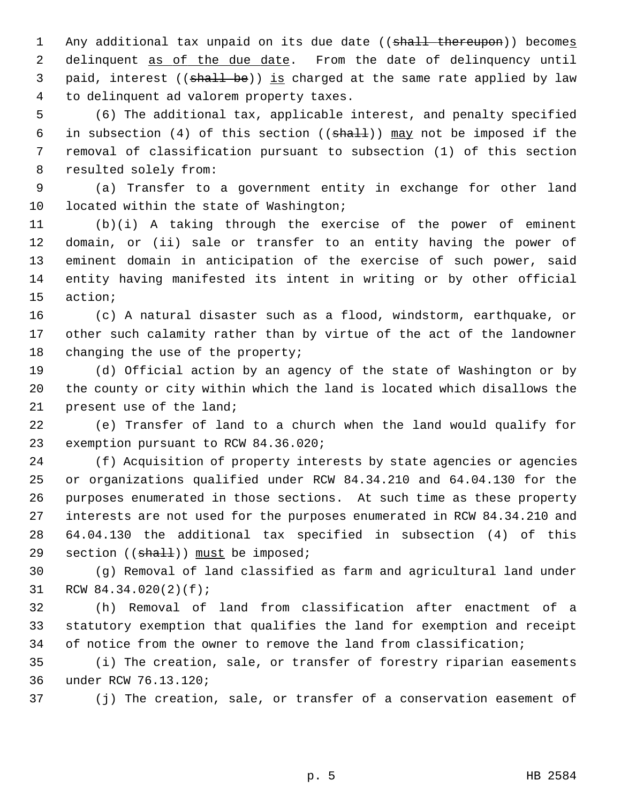1 Any additional tax unpaid on its due date ((shall thereupon)) becomes 2 delinquent as of the due date. From the date of delinquency until 3 paid, interest ((shall be)) is charged at the same rate applied by law 4 to delinquent ad valorem property taxes.

 5 (6) The additional tax, applicable interest, and penalty specified 6 in subsection (4) of this section (( $shall$ )) may not be imposed if the 7 removal of classification pursuant to subsection (1) of this section 8 resulted solely from:

 9 (a) Transfer to a government entity in exchange for other land 10 located within the state of Washington;

11 (b)(i) A taking through the exercise of the power of eminent 12 domain, or (ii) sale or transfer to an entity having the power of 13 eminent domain in anticipation of the exercise of such power, said 14 entity having manifested its intent in writing or by other official 15 action;

16 (c) A natural disaster such as a flood, windstorm, earthquake, or 17 other such calamity rather than by virtue of the act of the landowner 18 changing the use of the property;

19 (d) Official action by an agency of the state of Washington or by 20 the county or city within which the land is located which disallows the 21 present use of the land;

22 (e) Transfer of land to a church when the land would qualify for 23 exemption pursuant to RCW 84.36.020;

24 (f) Acquisition of property interests by state agencies or agencies 25 or organizations qualified under RCW 84.34.210 and 64.04.130 for the 26 purposes enumerated in those sections. At such time as these property 27 interests are not used for the purposes enumerated in RCW 84.34.210 and 28 64.04.130 the additional tax specified in subsection (4) of this 29 section  $((\text{sha1})$ ) must be imposed;

30 (g) Removal of land classified as farm and agricultural land under 31 RCW 84.34.020(2)(f);

32 (h) Removal of land from classification after enactment of a 33 statutory exemption that qualifies the land for exemption and receipt 34 of notice from the owner to remove the land from classification;

35 (i) The creation, sale, or transfer of forestry riparian easements 36 under RCW 76.13.120;

37 (j) The creation, sale, or transfer of a conservation easement of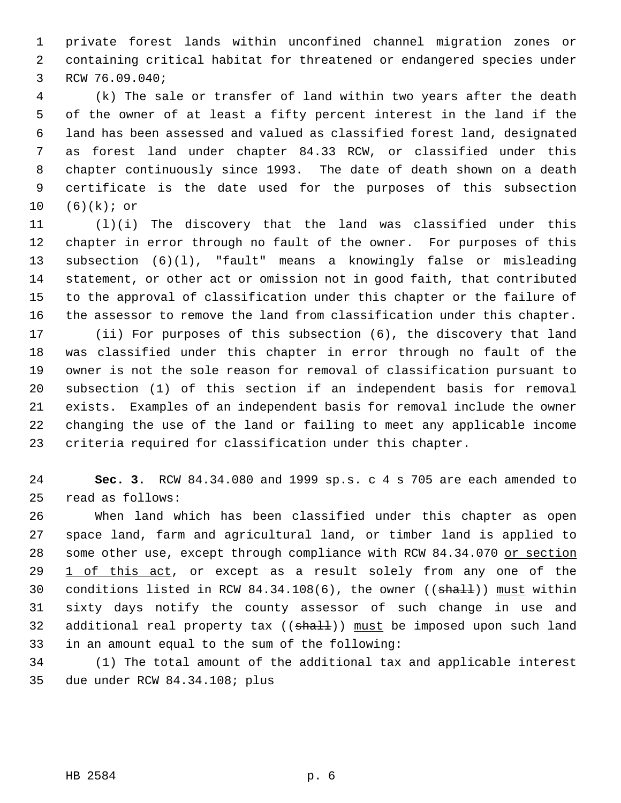1 private forest lands within unconfined channel migration zones or 2 containing critical habitat for threatened or endangered species under 3 RCW 76.09.040;

 4 (k) The sale or transfer of land within two years after the death 5 of the owner of at least a fifty percent interest in the land if the 6 land has been assessed and valued as classified forest land, designated 7 as forest land under chapter 84.33 RCW, or classified under this 8 chapter continuously since 1993. The date of death shown on a death 9 certificate is the date used for the purposes of this subsection 10 (6)(k); or

11 (l)(i) The discovery that the land was classified under this 12 chapter in error through no fault of the owner. For purposes of this 13 subsection (6)(l), "fault" means a knowingly false or misleading 14 statement, or other act or omission not in good faith, that contributed 15 to the approval of classification under this chapter or the failure of 16 the assessor to remove the land from classification under this chapter.

17 (ii) For purposes of this subsection (6), the discovery that land 18 was classified under this chapter in error through no fault of the 19 owner is not the sole reason for removal of classification pursuant to 20 subsection (1) of this section if an independent basis for removal 21 exists. Examples of an independent basis for removal include the owner 22 changing the use of the land or failing to meet any applicable income 23 criteria required for classification under this chapter.

24 **Sec. 3.** RCW 84.34.080 and 1999 sp.s. c 4 s 705 are each amended to 25 read as follows:

26 When land which has been classified under this chapter as open 27 space land, farm and agricultural land, or timber land is applied to 28 some other use, except through compliance with RCW 84.34.070 or section 29 1 of this act, or except as a result solely from any one of the 30 conditions listed in RCW 84.34.108(6), the owner ((shall)) must within 31 sixty days notify the county assessor of such change in use and 32 additional real property tax  $((shalt))$  must be imposed upon such land 33 in an amount equal to the sum of the following:

34 (1) The total amount of the additional tax and applicable interest 35 due under RCW 84.34.108; plus